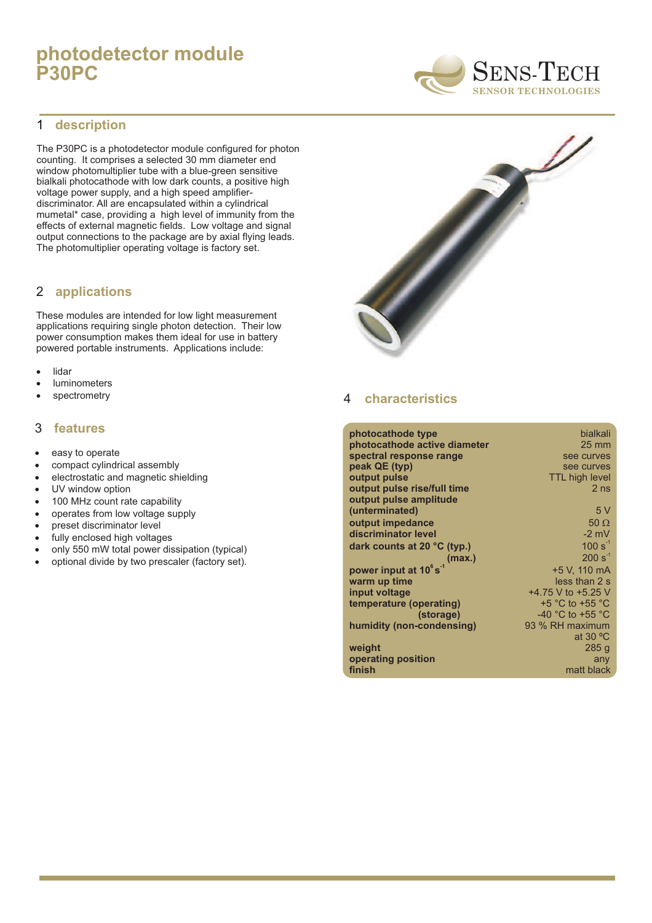# **photodetector module P30PC**

#### 1 **description**

The P30PC is a photodetector module configured for photon counting. It comprises a selected 30 mm diameter end window photomultiplier tube with a blue-green sensitive bialkali photocathode with low dark counts, a positive high voltage power supply, and a high speed amplifierdiscriminator. All are encapsulated within a cylindrical mumetal\* case, providing a high level of immunity from the effects of external magnetic fields. Low voltage and signal output connections to the package are by axial flying leads. The photomultiplier operating voltage is factory set.

#### **applications** 2

These modules are intended for low light measurement applications requiring single photon detection. Their low power consumption makes them ideal for use in battery powered portable instruments. Applications include:

- lidar ·
- luminometers ·
- spectrometry ·

#### 3 **features**

- · easy to operate
- · compact cylindrical assembly
- · electrostatic and magnetic shielding
- · UV window option
- · 100 MHz count rate capability
- · operates from low voltage supply
- · preset discriminator level
- · fully enclosed high voltages
- · only 550 mW total power dissipation (typical)
- · optional divide by two prescaler (factory set).



#### 4 **characteristics**

| photocathode type                     | bialkali                             |
|---------------------------------------|--------------------------------------|
| photocathode active diameter          | $25 \text{ mm}$                      |
| spectral response range               | see curves                           |
| peak QE (typ)                         | see curves                           |
| output pulse                          | <b>TTL high level</b>                |
| output pulse rise/full time           | 2 <sub>ns</sub>                      |
| output pulse amplitude                |                                      |
| (unterminated)                        | 5V                                   |
| output impedance                      | 50 $\Omega$                          |
| discriminator level                   | $-2$ mV                              |
| dark counts at 20 $^{\circ}$ C (typ.) | $100 s^{-1}$                         |
| (max.)                                | $200 s^{-1}$                         |
| power input at 10°s <sup>-1</sup>     | +5 V, 110 mA                         |
| warm up time                          | less than 2 s                        |
| input voltage                         | +4.75 V to +5.25 V                   |
| temperature (operating)               | $+5$ °C to $+55$ °C                  |
| (storage)                             | -40 $^{\circ}$ C to +55 $^{\circ}$ C |
| humidity (non-condensing)             | 93 % RH maximum                      |
|                                       | at 30 $\degree$ C                    |
| weight                                | 285 g                                |
| operating position                    | any                                  |
| finish                                | matt black                           |